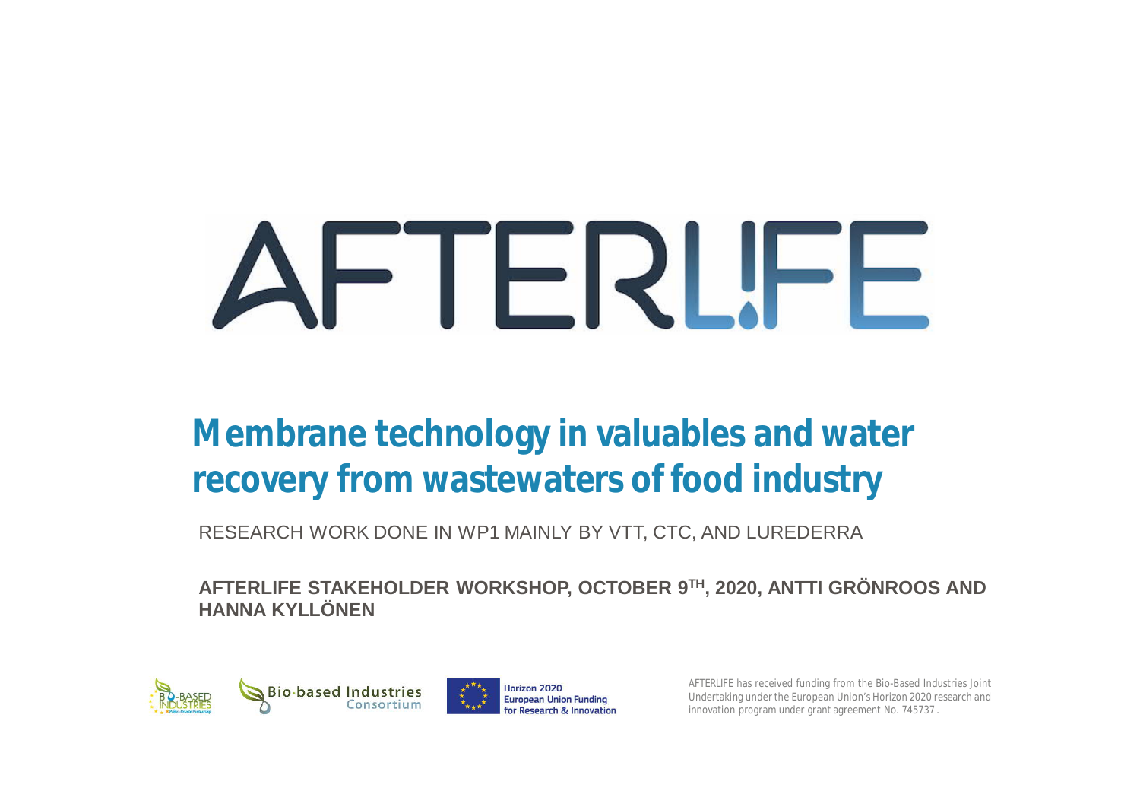# FTERLIFE

## **Membrane technology in valuables and water recovery from wastewaters of food industry**

RESEARCH WORK DONE IN WP1 MAINLY BY VTT, CTC, AND LUREDERRA

**AFTERLIFE STAKEHOLDER WORKSHOP, OCTOBER 9TH, 2020, ANTTI GRÖNROOS AND HANNA KYLLÖNEN**



AFTERLIFE has received funding from the Bio-Based Industries Joint Undertaking under the European Union's Horizon 2020 research and innovation program under grant agreement No. 745737 .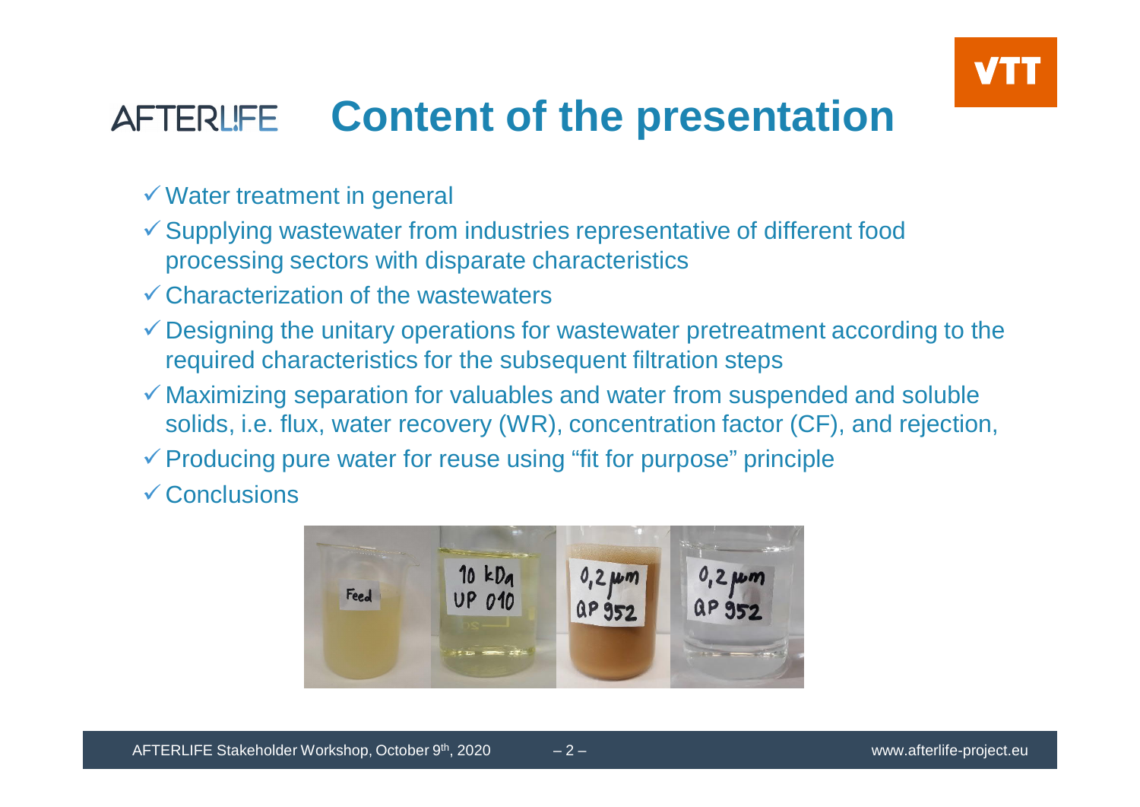

#### **Content of the presentationAFTERLIFE**

- $\checkmark$  Water treatment in general
- $\checkmark$  Supplying wastewater from industries representative of different food processing sectors with disparate characteristics
- $\checkmark$  Characterization of the wastewaters
- $\checkmark$  Designing the unitary operations for wastewater pretreatment according to the required characteristics for the subsequent filtration steps
- $\checkmark$  Maximizing separation for valuables and water from suspended and soluble solids, i.e. flux, water recovery (WR), concentration factor (CF), and rejection,
- $\checkmark$  Producing pure water for reuse using "fit for purpose" principle

 $\checkmark$  Conclusions

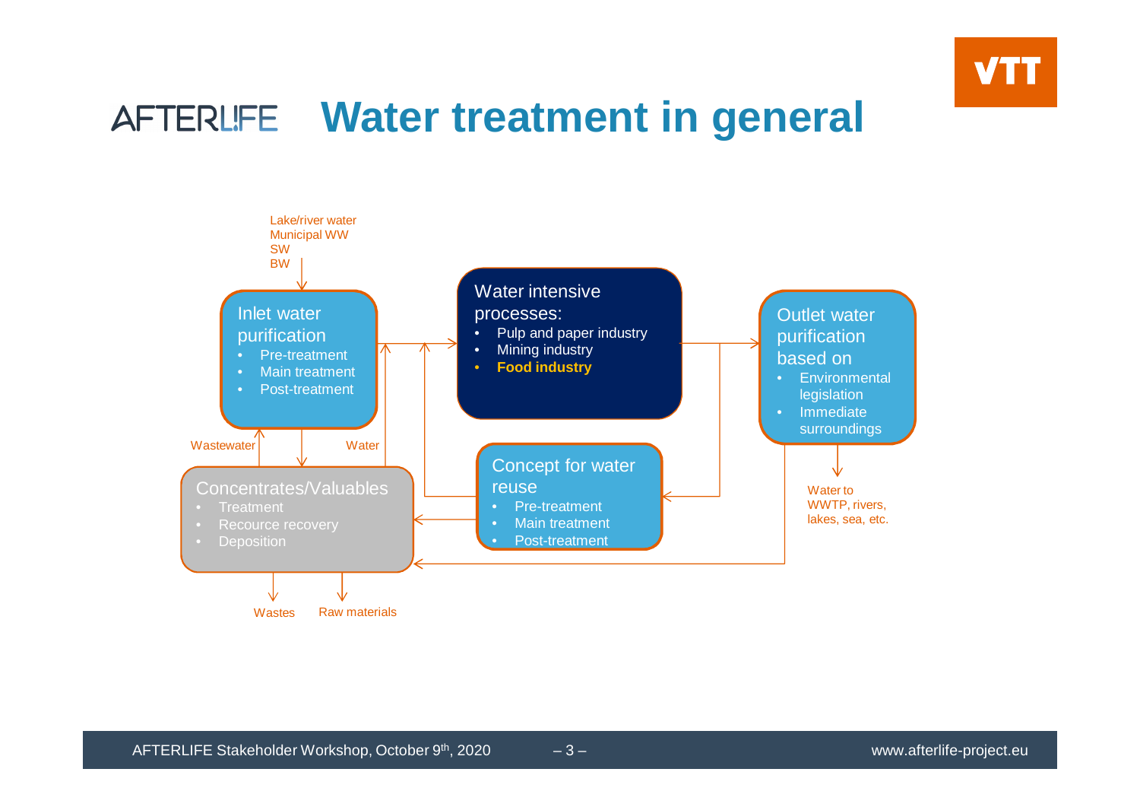

## **Water treatment in general**

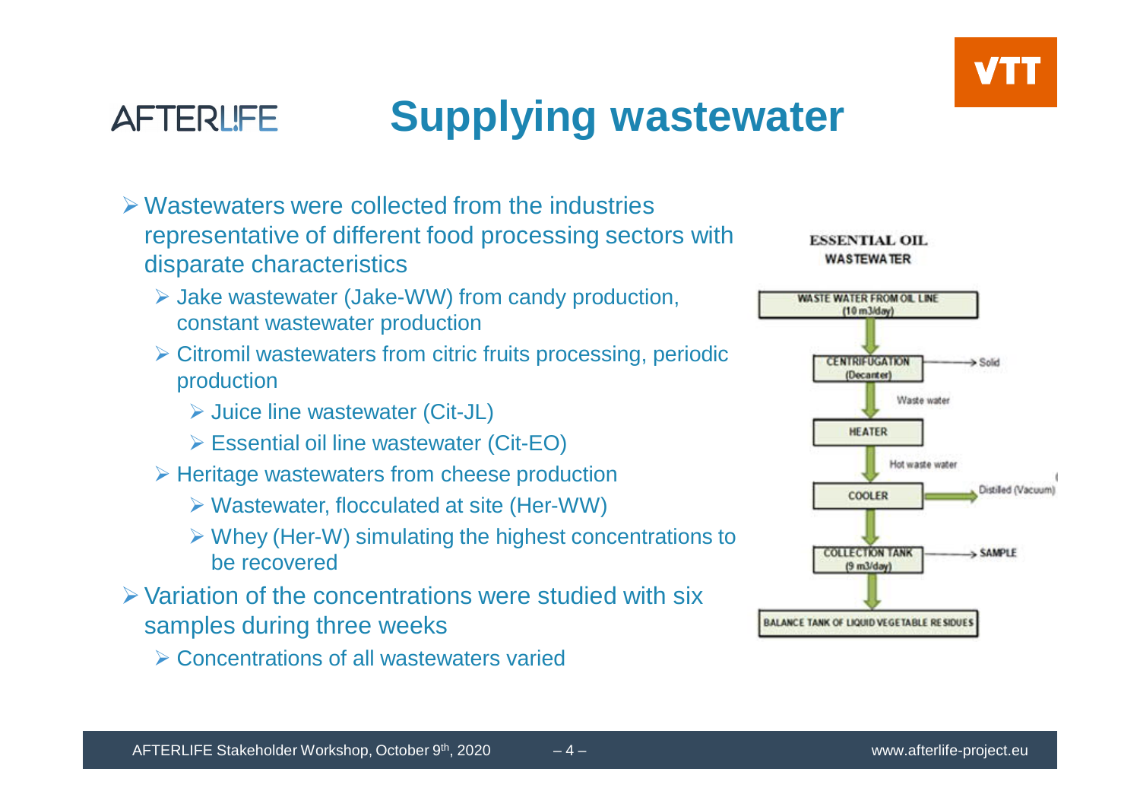



# **Supplying wastewater**

- $\triangleright$  Wastewaters were collected from the industries representative of different food processing sectors with disparate characteristics
	- Ø Jake wastewater (Jake-WW) from candy production, constant wastewater production
	- $\triangleright$  Citromil wastewaters from citric fruits processing, periodic production
		- Ø Juice line wastewater (Cit-JL)
		- Ø Essential oil line wastewater (Cit-EO)
	- $\triangleright$  Heritage wastewaters from cheese production
		- $\triangleright$  Wastewater, flocculated at site (Her-WW)
		- $\triangleright$  Whey (Her-W) simulating the highest concentrations to be recovered
- $\triangleright$  Variation of the concentrations were studied with six samples during three weeks
	- Ø Concentrations of all wastewaters varied



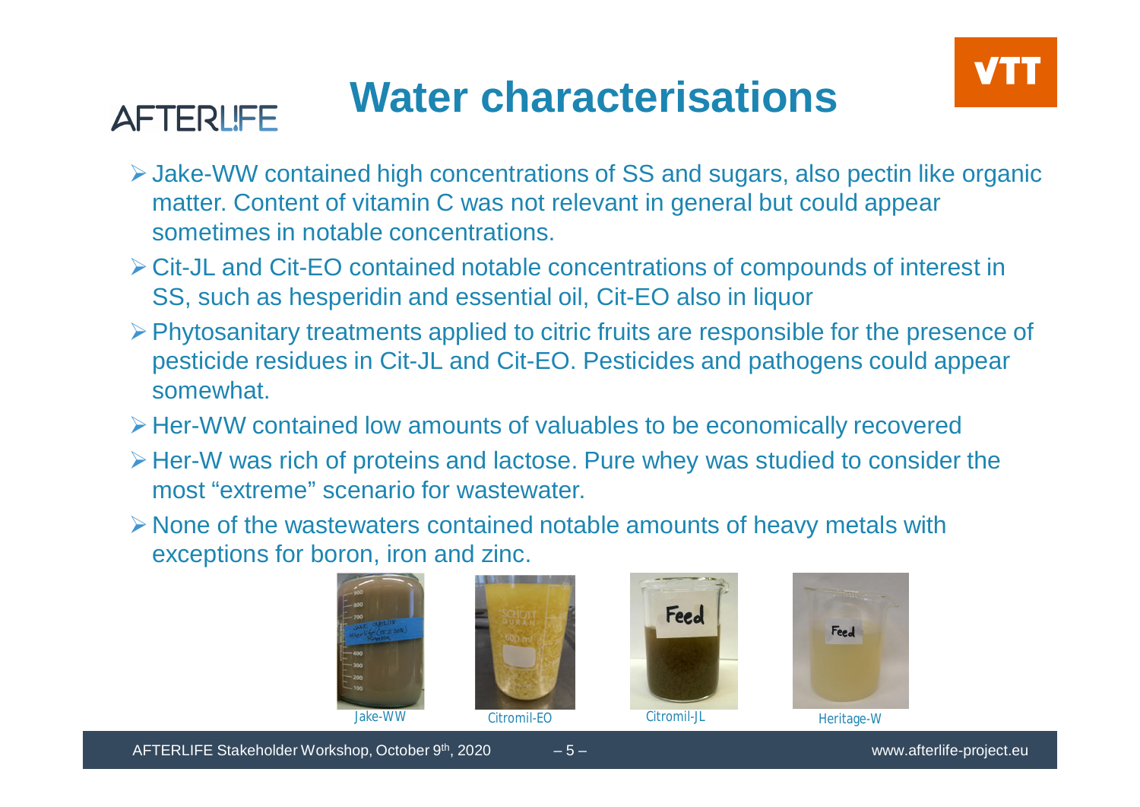# **Water characterisations**



- ØJake-WW contained high concentrations of SS and sugars, also pectin like organic matter. Content of vitamin C was not relevant in general but could appear sometimes in notable concentrations.
- ØCit-JL and Cit-EO contained notable concentrations of compounds of interest in SS, such as hesperidin and essential oil, Cit-EO also in liquor
- $\triangleright$  Phytosanitary treatments applied to citric fruits are responsible for the presence of pesticide residues in Cit-JL and Cit-EO. Pesticides and pathogens could appear somewhat.
- ØHer-WW contained low amounts of valuables to be economically recovered
- $\triangleright$  Her-W was rich of proteins and lactose. Pure whey was studied to consider the most "extreme" scenario for wastewater.
- $\triangleright$  None of the wastewaters contained notable amounts of heavy metals with exceptions for boron, iron and zinc.







**AFTERLIFE**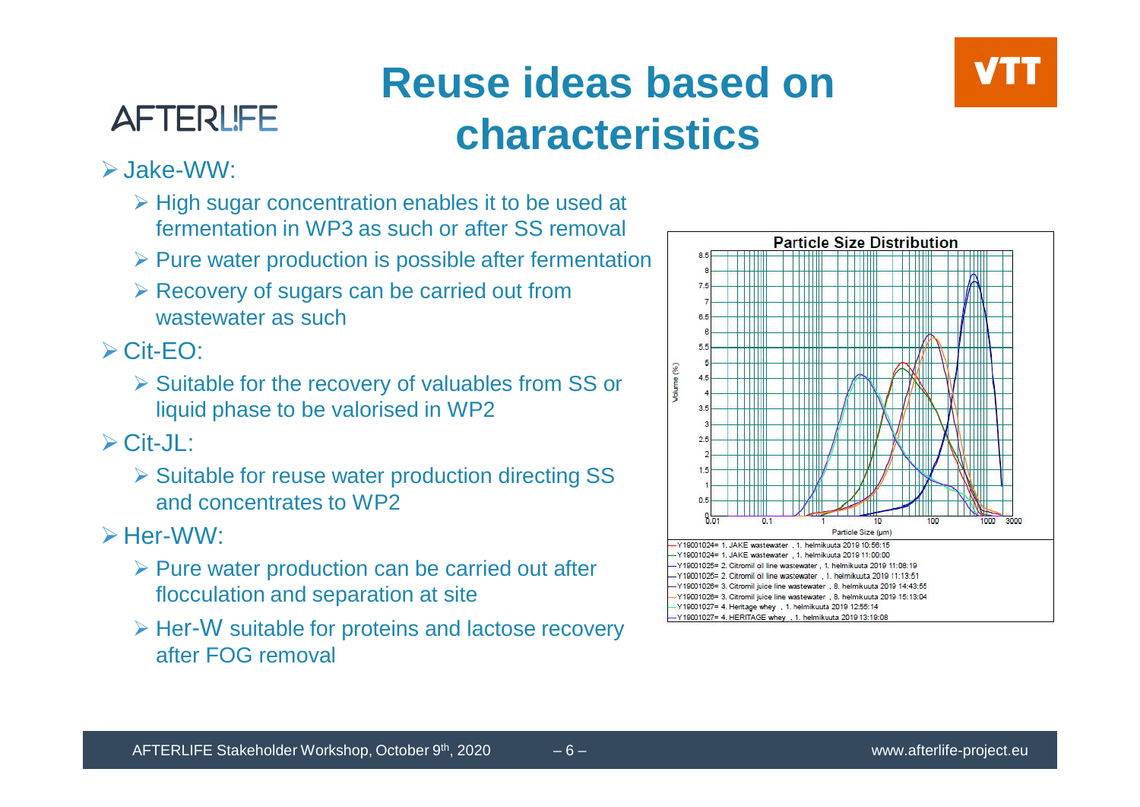## **AFTERLIFE**

# **Reuse ideas based on characteristics**



#### $\triangleright$ , Jake-WW $\cdot$

- $\triangleright$  High sugar concentration enables it to be used at fermentation in WP3 as such or after SS removal
- $\triangleright$  Pure water production is possible after fermentation
- $\triangleright$  Recovery of sugars can be carried out from wastewater as such

 $\triangleright$  Cit-FO:

 $\triangleright$  Suitable for the recovery of valuables from SS or liquid phase to be valorised in WP2

 $\triangleright$  Cit-JL:

Ø Suitable for reuse water production directing SS and concentrates to WP2

 $\triangleright$  Her-WW $\cdot$ 

- $\triangleright$  Pure water production can be carried out after flocculation and separation at site
- $\triangleright$  Her-W suitable for proteins and lactose recovery after FOG removal

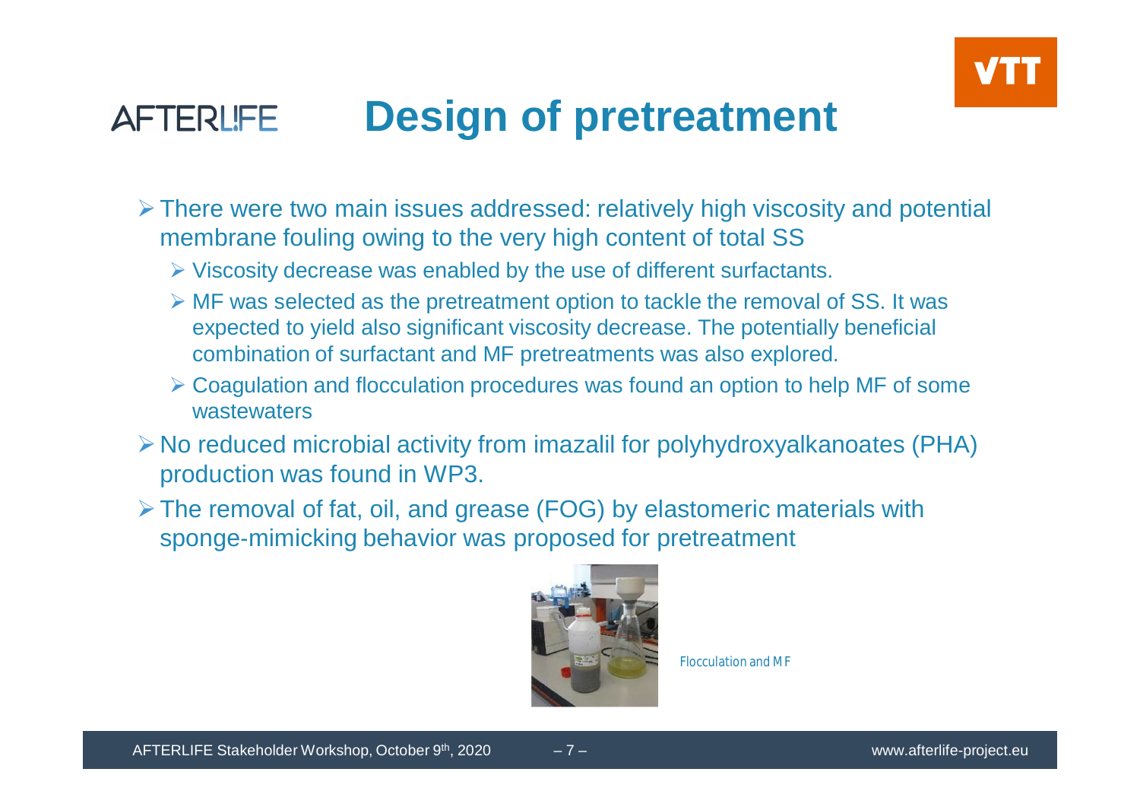

#### **Design of pretreatment AFTERLIFE**

- $\triangleright$  There were two main issues addressed: relatively high viscosity and potential membrane fouling owing to the very high content of total SS
	- $\triangleright$  Viscosity decrease was enabled by the use of different surfactants.
	- $\triangleright$  MF was selected as the pretreatment option to tackle the removal of SS. It was expected to yield also significant viscosity decrease. The potentially beneficial combination of surfactant and MF pretreatments was also explored.
	- $\triangleright$  Coagulation and flocculation procedures was found an option to help MF of some wastewaters
- $\triangleright$  No reduced microbial activity from imazalil for polyhydroxyalkanoates (PHA) production was found in WP3.
- $\triangleright$  The removal of fat, oil, and grease (FOG) by elastomeric materials with sponge-mimicking behavior was proposed for pretreatment



Flocculation and MF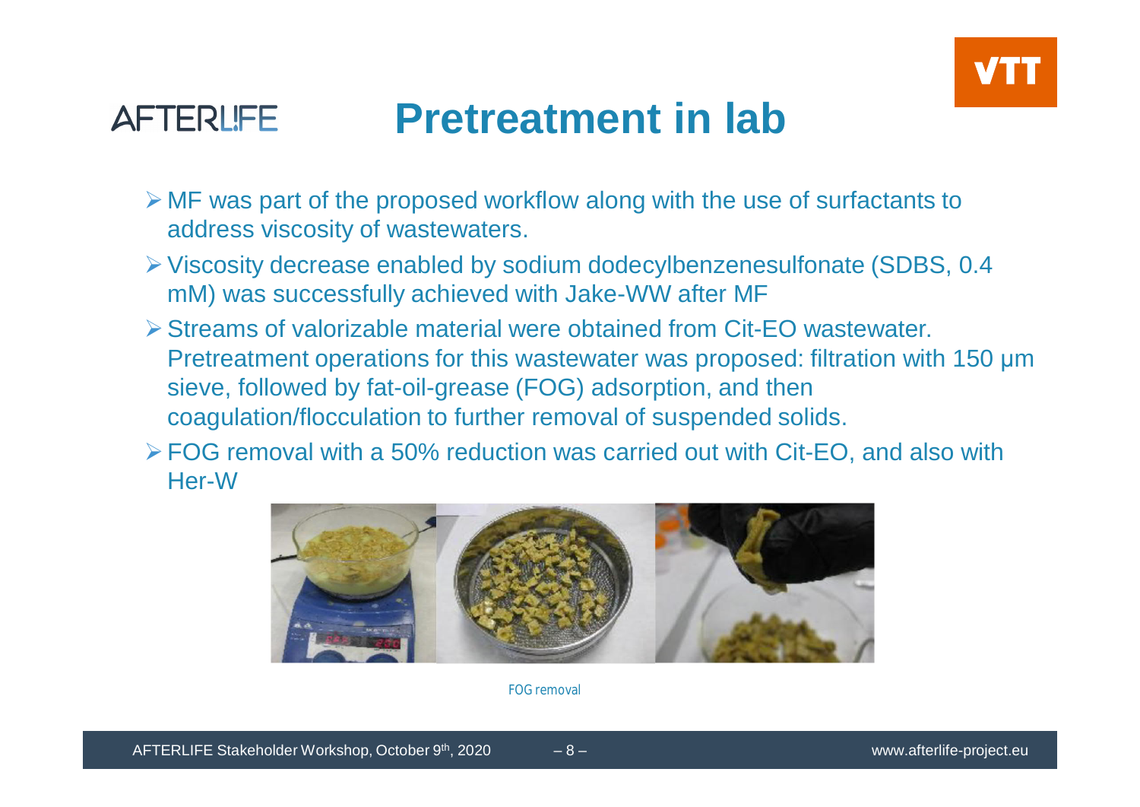



## **Pretreatment in lab**

- $\triangleright$  MF was part of the proposed workflow along with the use of surfactants to address viscosity of wastewaters.
- ØViscosity decrease enabled by sodium dodecylbenzenesulfonate (SDBS, 0.4 mM) was successfully achieved with Jake-WW after MF
- $\triangleright$  Streams of valorizable material were obtained from Cit-FO wastewater. Pretreatment operations for this wastewater was proposed: filtration with 150 μm sieve, followed by fat-oil-grease (FOG) adsorption, and then coagulation/flocculation to further removal of suspended solids.
- ØFOG removal with a 50% reduction was carried out with Cit-EO, and also with Her-W



FOG removal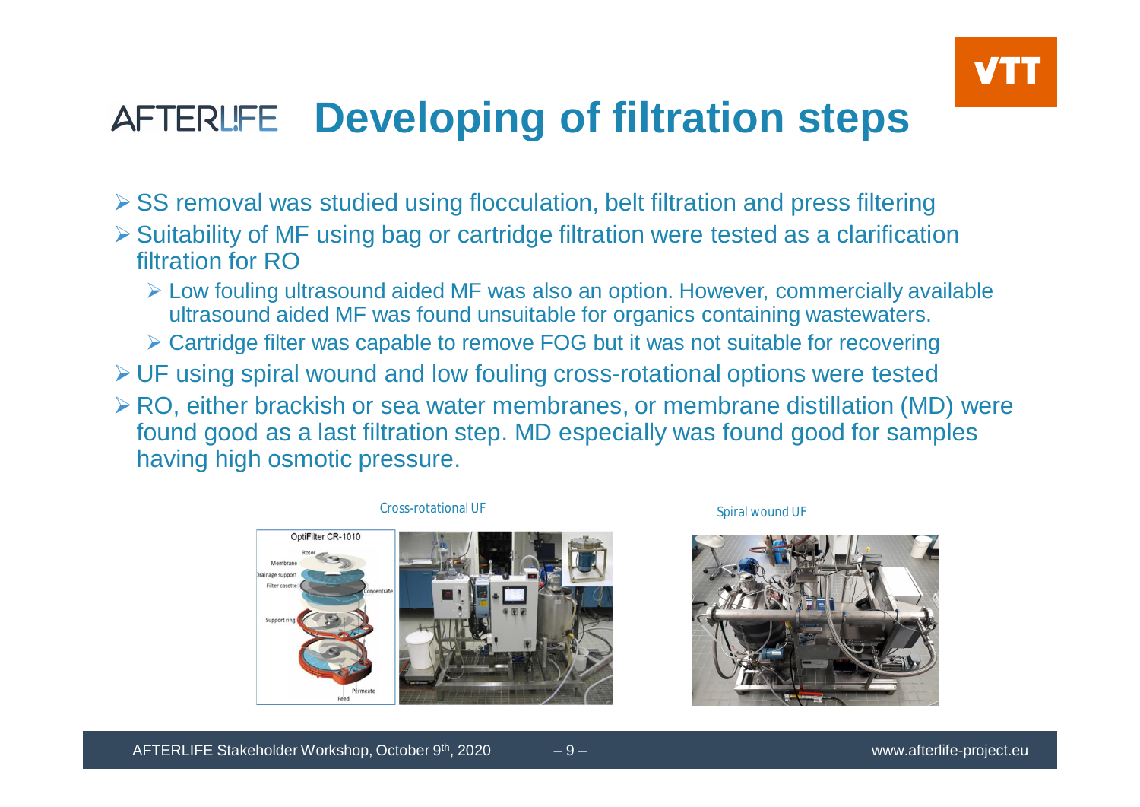

#### **Developing of filtration steps** AFTERLIFE

- $\triangleright$  SS removal was studied using flocculation, belt filtration and press filtering
- $\triangleright$  Suitability of MF using bag or cartridge filtration were tested as a clarification filtration for RO
	- $\triangleright$  Low fouling ultrasound aided MF was also an option. However, commercially available ultrasound aided MF was found unsuitable for organics containing wastewaters.
	- Ø Cartridge filter was capable to remove FOG but it was not suitable for recovering
- $\triangleright$  UF using spiral wound and low fouling cross-rotational options were tested
- $\triangleright$  RO, either brackish or sea water membranes, or membrane distillation (MD) were found good as a last filtration step. MD especially was found good for samples having high osmotic pressure.



Spiral wound UF

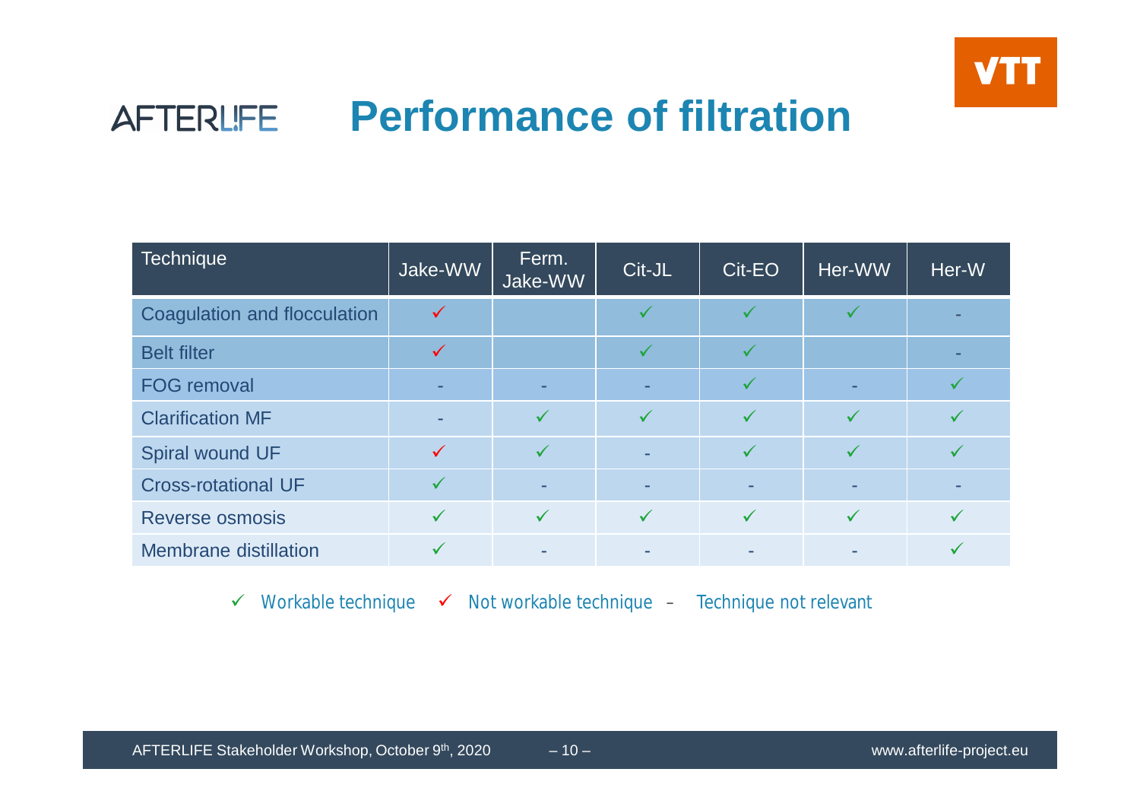

#### **Performance of filtration** AFTERLIFE

| <b>Technique</b>             | Jake-WW      | Ferm.<br>Jake-WW | Cit-JL       | Cit-EO       | Her-WW       | Her-W |
|------------------------------|--------------|------------------|--------------|--------------|--------------|-------|
| Coagulation and flocculation |              |                  |              |              |              |       |
| <b>Belt filter</b>           | $\checkmark$ |                  |              |              |              |       |
| <b>FOG removal</b>           | ۰.           |                  |              | $\checkmark$ | ٠            |       |
| <b>Clarification MF</b>      |              | $\checkmark$     | $\checkmark$ | $\checkmark$ | $\checkmark$ |       |
| Spiral wound UF              |              | $\checkmark$     |              | $\checkmark$ | ✓            |       |
| <b>Cross-rotational UF</b>   |              |                  |              | ٠            | -            |       |
| <b>Reverse osmosis</b>       |              | $\checkmark$     | $\checkmark$ | $\checkmark$ | $\checkmark$ |       |
| <b>Membrane distillation</b> |              |                  |              |              |              |       |

 $\checkmark$  Workable technique  $\checkmark$  Not workable technique – Technique not relevant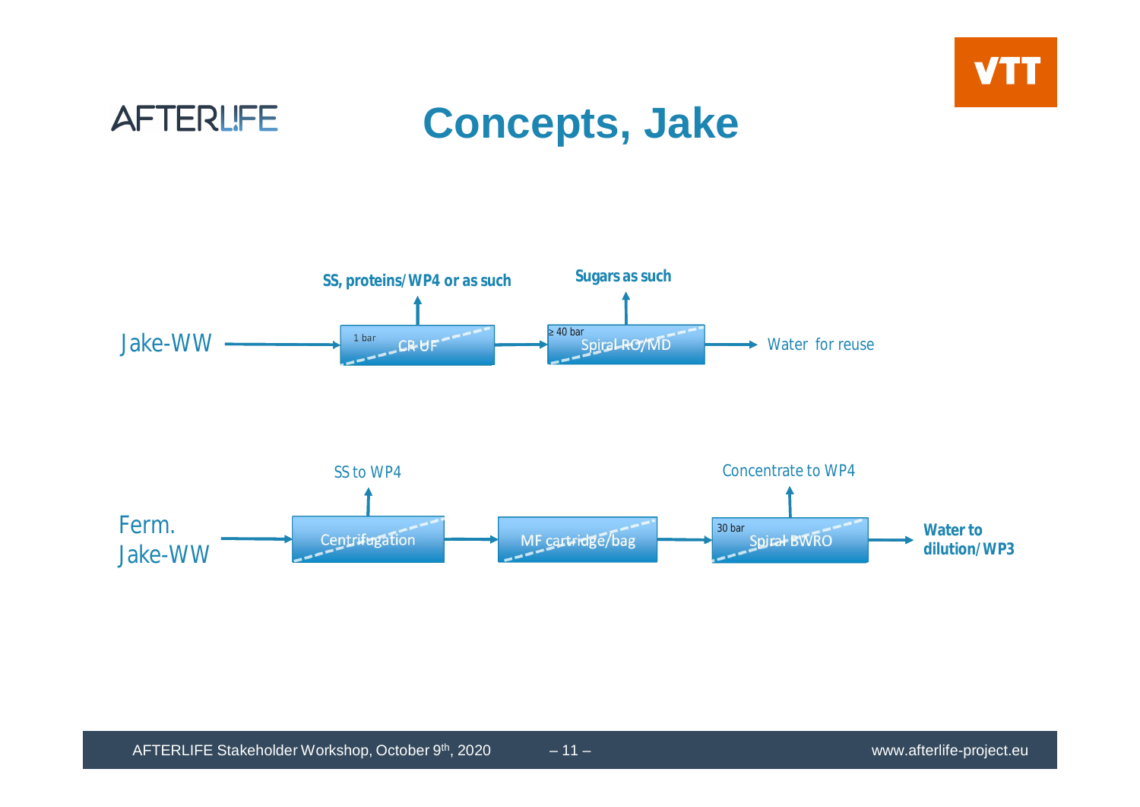

## **AFTERLIFE**

## **Concepts, Jake**

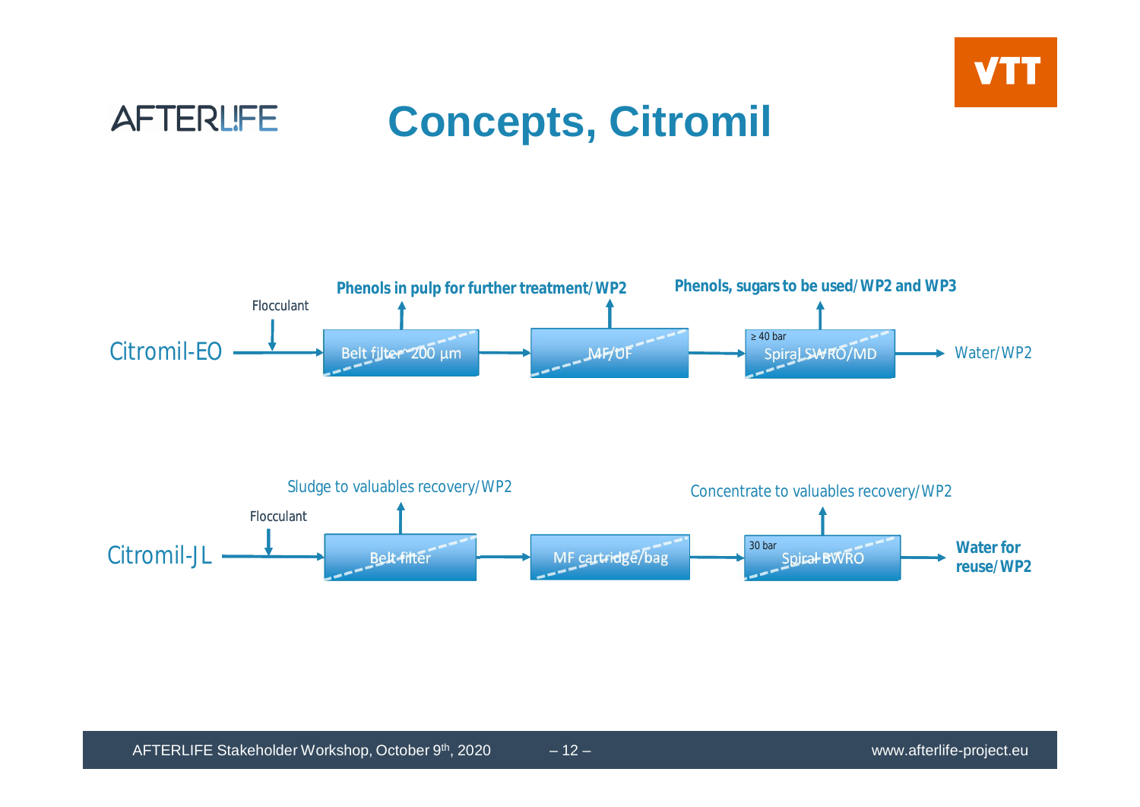

#### **AFTERLIFE Concepts, Citromil**

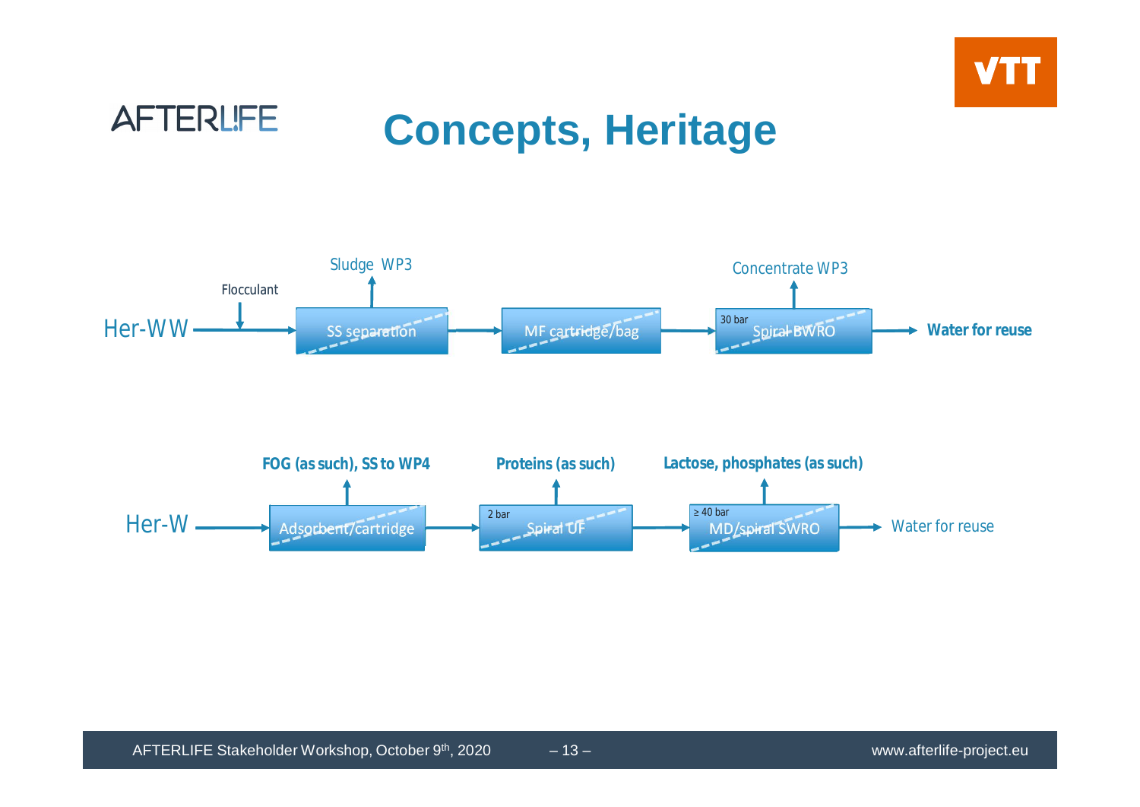



## **Concepts, Heritage**

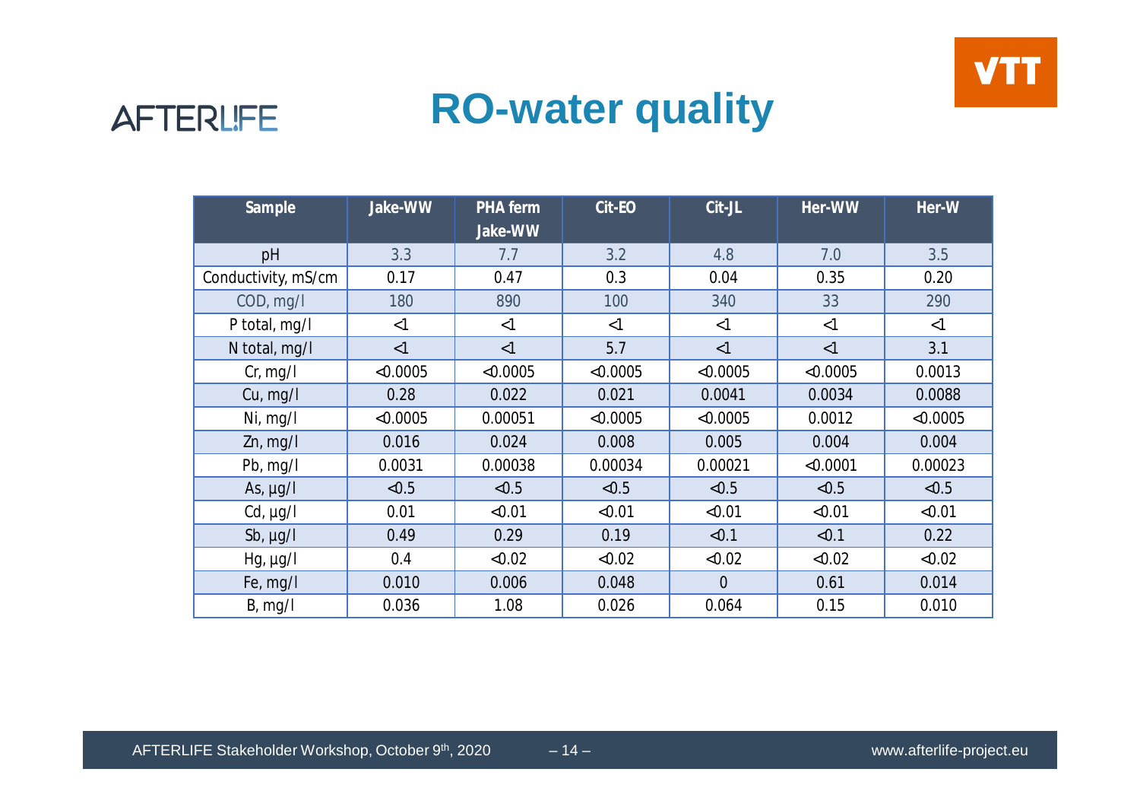



## **RO-water quality**

| Sample              | Jake-WW  | <b>PHA</b> ferm<br>Jake-WW | Cit-EO   | Cit-JL         | Her-WW   | Her-W    |
|---------------------|----------|----------------------------|----------|----------------|----------|----------|
| pH                  | 3.3      | 7.7                        | 3.2      | 4.8            | 7.0      | 3.5      |
| Conductivity, mS/cm | 0.17     | 0.47                       | 0.3      | 0.04           | 0.35     | 0.20     |
| COD, mg/l           | 180      | 890                        | 100      | 340            | 33       | 290      |
| P total, mg/l       | $\leq$ 1 | <1                         | <1       | <1             | <1       | $<$ 1    |
| N total, mg/l       | <1       | <1                         | 5.7      | <1             | $\leq$ 1 | 3.1      |
| Cr, mg/l            | < 0.0005 | < 0.0005                   | < 0.0005 | < 0.0005       | < 0.0005 | 0.0013   |
| Cu, mg/l            | 0.28     | 0.022                      | 0.021    | 0.0041         | 0.0034   | 0.0088   |
| Ni, $mq/l$          | < 0.0005 | 0.00051                    | < 0.0005 | < 0.0005       | 0.0012   | < 0.0005 |
| $Zn$ , mg/l         | 0.016    | 0.024                      | 0.008    | 0.005          | 0.004    | 0.004    |
| Pb, $mg/l$          | 0.0031   | 0.00038                    | 0.00034  | 0.00021        | < 0.0001 | 0.00023  |
| As, $\mu g/I$       | < 0.5    | < 0.5                      | < 0.5    | < 0.5          | < 0.5    | < 0.5    |
| $Cd, \mu g/l$       | 0.01     | < 0.01                     | < 0.01   | < 0.01         | < 0.01   | < 0.01   |
| Sb, $\mu g/I$       | 0.49     | 0.29                       | 0.19     | < 0.1          | < 0.1    | 0.22     |
| $Hg, \mu g/I$       | 0.4      | < 0.02                     | < 0.02   | < 0.02         | < 0.02   | < 0.02   |
| Fe, mg/l            | 0.010    | 0.006                      | 0.048    | $\overline{0}$ | 0.61     | 0.014    |
| B, mg/l             | 0.036    | 1.08                       | 0.026    | 0.064          | 0.15     | 0.010    |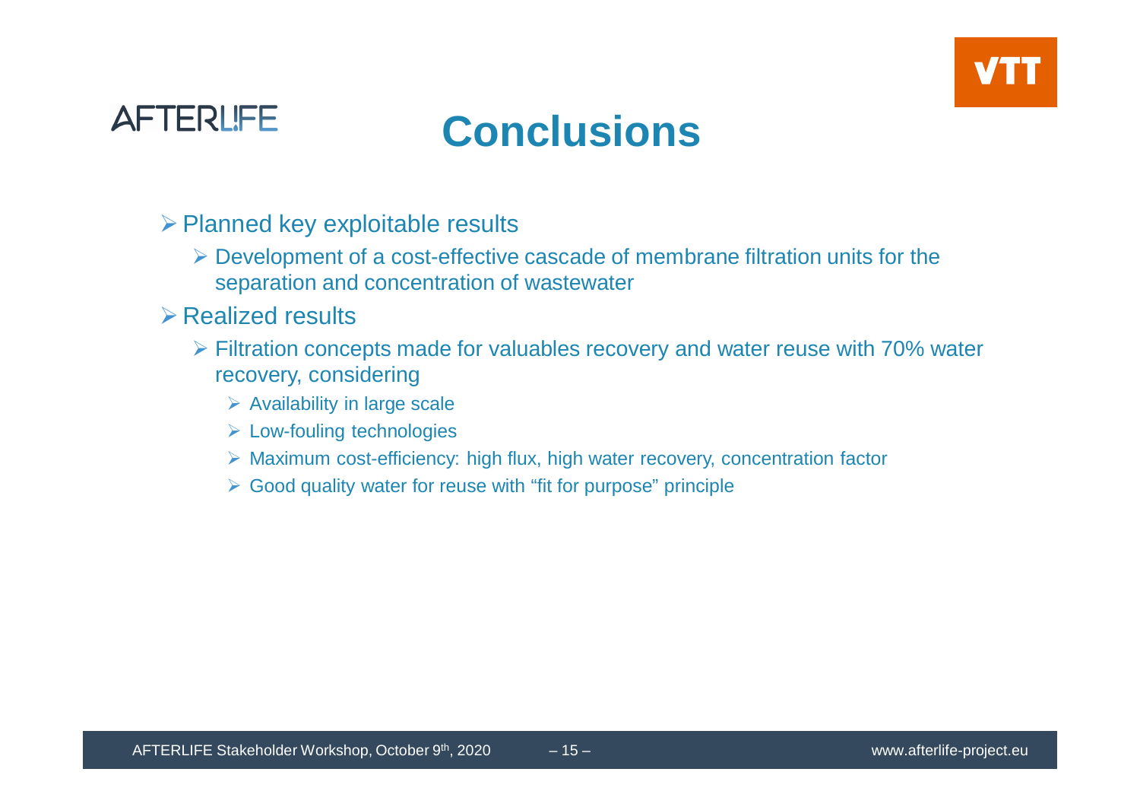



## **Conclusions**

- $\triangleright$  Planned key exploitable results
	- $\triangleright$  Development of a cost-effective cascade of membrane filtration units for the separation and concentration of wastewater
- $\triangleright$  Realized results
	- $\triangleright$  Filtration concepts made for valuables recovery and water reuse with 70% water recovery, considering
		- $\triangleright$  Availability in large scale
		- $\triangleright$  Low-fouling technologies
		- $\triangleright$  Maximum cost-efficiency: high flux, high water recovery, concentration factor
		- $\triangleright$  Good quality water for reuse with "fit for purpose" principle